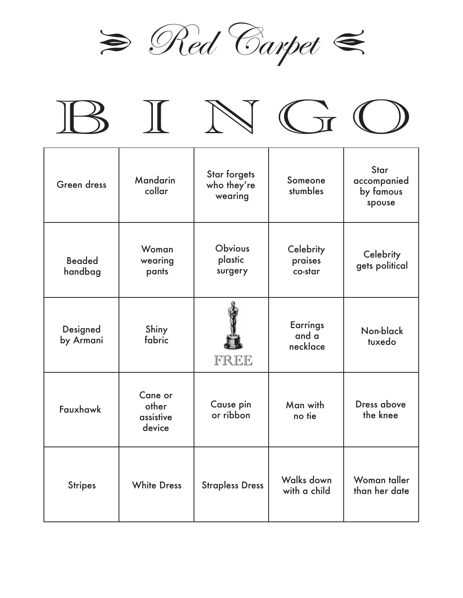









| Green dress              | <b>Mandarin</b><br>collar               | <b>Star forgets</b><br>who they're<br>wearing | Someone<br>stumbles                  | <b>Star</b><br>accompanied<br>by famous<br>spouse |
|--------------------------|-----------------------------------------|-----------------------------------------------|--------------------------------------|---------------------------------------------------|
| <b>Beaded</b><br>handbag | Woman<br>wearing<br>pants               | <b>Obvious</b><br>plastic<br>surgery          | Celebrity<br>praises<br>co-star      | Celebrity<br>gets political                       |
| Designed<br>by Armani    | Shiny<br>fabric                         | FREE                                          | <b>Earrings</b><br>and a<br>necklace | Non-black<br>tuxedo                               |
| Fauxhawk                 | Cane or<br>other<br>assistive<br>device | Cause pin<br>or ribbon                        | Man with<br>no tie                   | Dress above<br>the knee                           |
| <b>Stripes</b>           | <b>White Dress</b>                      | <b>Strapless Dress</b>                        | Walks down<br>with a child           | Woman taller<br>than her date                     |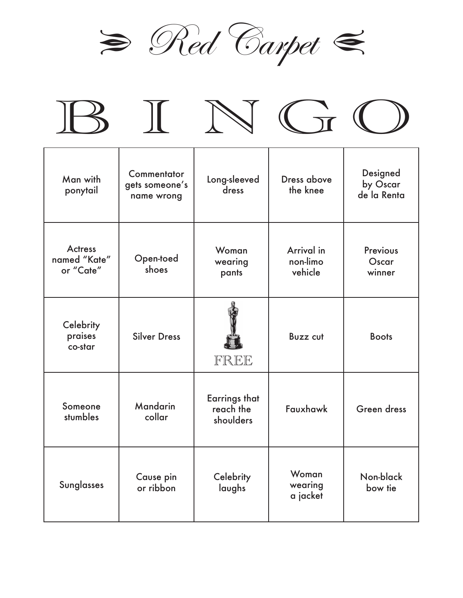









| Man with<br>ponytail                        | Commentator<br>gets someone's<br>name wrong | Long-sleeved<br>dress                          | Dress above<br>the knee           | Designed<br>by Oscar<br>de la Renta |
|---------------------------------------------|---------------------------------------------|------------------------------------------------|-----------------------------------|-------------------------------------|
| <b>Actress</b><br>named "Kate"<br>or "Cate" | Open-toed<br>shoes                          | Woman<br>wearing<br>pants                      | Arrival in<br>non-limo<br>vehicle | <b>Previous</b><br>Oscar<br>winner  |
| Celebrity<br>praises<br>co-star             | <b>Silver Dress</b>                         | FREE                                           | <b>Buzz cut</b>                   | <b>Boots</b>                        |
| Someone<br>stumbles                         | <b>Mandarin</b><br>collar                   | <b>Earrings that</b><br>reach the<br>shoulders | Fauxhawk                          | Green dress                         |
| <b>Sunglasses</b>                           | Cause pin<br>or ribbon                      | Celebrity<br>laughs                            | Woman<br>wearing<br>a jacket      | Non-black<br>bow tie                |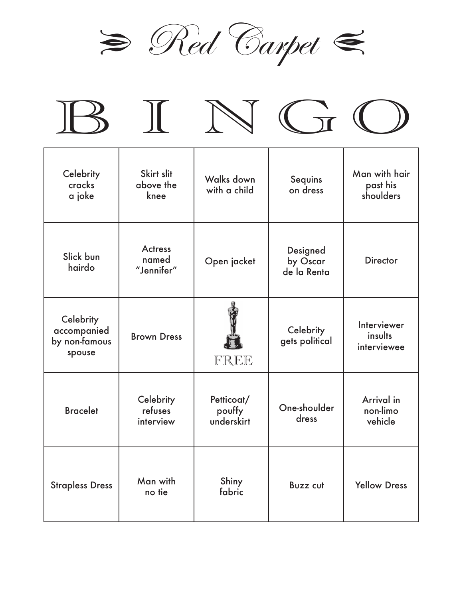









| Celebrity<br>cracks<br>a joke                       | Skirt slit<br>above the<br>knee       | Walks down<br>with a child         | Sequins<br>on dress                 | Man with hair<br>past his<br>shoulders |
|-----------------------------------------------------|---------------------------------------|------------------------------------|-------------------------------------|----------------------------------------|
| Slick bun<br>hairdo                                 | <b>Actress</b><br>named<br>"Jennifer" | Open jacket                        | Designed<br>by Oscar<br>de la Renta | <b>Director</b>                        |
| Celebrity<br>accompanied<br>by non-famous<br>spouse | <b>Brown Dress</b>                    | FREE                               | Celebrity<br>gets political         | Interviewer<br>insults<br>interviewee  |
| <b>Bracelet</b>                                     | Celebrity<br>refuses<br>interview     | Petticoat/<br>pouffy<br>underskirt | One-shoulder<br>dress               | Arrival in<br>non-limo<br>vehicle      |
| <b>Strapless Dress</b>                              | Man with<br>no tie                    | Shiny<br>fabric                    | <b>Buzz cut</b>                     | <b>Yellow Dress</b>                    |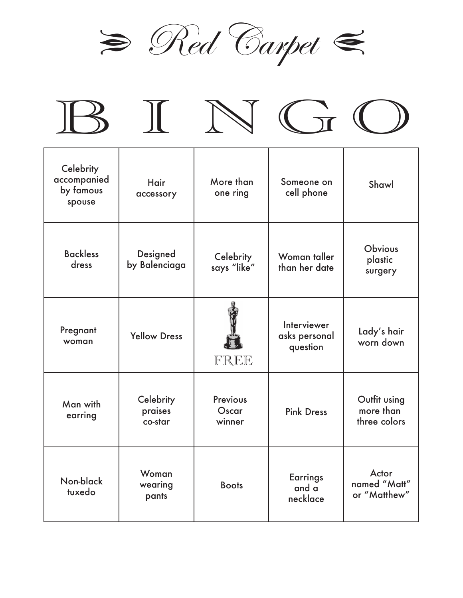







| Celebrity<br>accompanied<br>by famous<br>spouse | Hair<br>accessory               | More than<br>one ring              | Someone on<br>cell phone                 | Shawl                                     |
|-------------------------------------------------|---------------------------------|------------------------------------|------------------------------------------|-------------------------------------------|
| <b>Backless</b><br>dress                        | Designed<br>by Balenciaga       | Celebrity<br>says "like"           | Woman taller<br>than her date            | <b>Obvious</b><br>plastic<br>surgery      |
| Pregnant<br>woman                               | <b>Yellow Dress</b>             | FREE                               | Interviewer<br>asks personal<br>question | Lady's hair<br>worn down                  |
| Man with<br>earring                             | Celebrity<br>praises<br>co-star | <b>Previous</b><br>Oscar<br>winner | <b>Pink Dress</b>                        | Outfit using<br>more than<br>three colors |
| Non-black<br>tuxedo                             | Woman<br>wearing<br>pants       | <b>Boots</b>                       | <b>Earrings</b><br>and a<br>necklace     | Actor<br>named "Matt"<br>or "Matthew"     |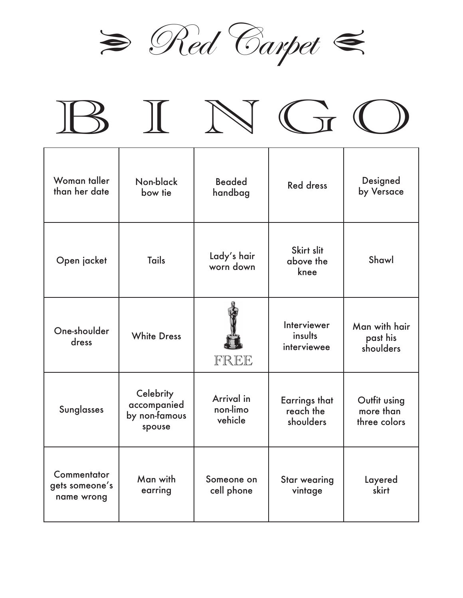









| Woman taller<br>than her date               | Non-black<br>bow tie                                | <b>Beaded</b><br>handbag          | <b>Red dress</b>                               | Designed<br>by Versace                    |
|---------------------------------------------|-----------------------------------------------------|-----------------------------------|------------------------------------------------|-------------------------------------------|
| Open jacket                                 | <b>Tails</b>                                        | Lady's hair<br>worn down          | Skirt slit<br>above the<br>knee                | Shawl                                     |
| One-shoulder<br>dress                       | <b>White Dress</b>                                  | FREE                              | Interviewer<br>insults<br>interviewee          | Man with hair<br>past his<br>shoulders    |
| <b>Sunglasses</b>                           | Celebrity<br>accompanied<br>by non-famous<br>spouse | Arrival in<br>non-limo<br>vehicle | <b>Earrings that</b><br>reach the<br>shoulders | Outfit using<br>more than<br>three colors |
| Commentator<br>gets someone's<br>name wrong | Man with<br>earring                                 | Someone on<br>cell phone          | <b>Star wearing</b><br>vintage                 | Layered<br>skirt                          |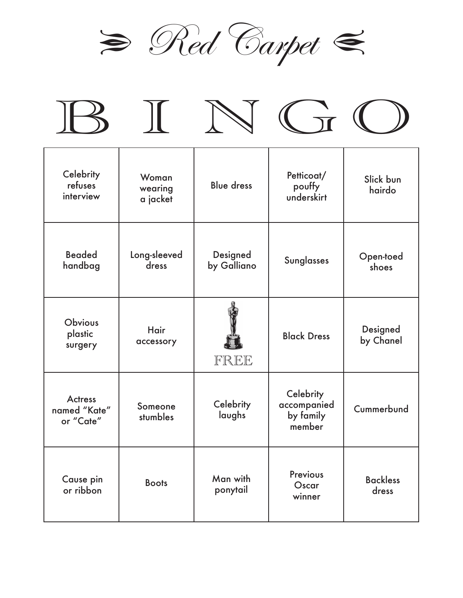

|  | $IB$ $IN$ $In$ $O$ |  |
|--|--------------------|--|
|  |                    |  |

| Celebrity<br>refuses<br>interview           | Woman<br>wearing<br>a jacket | <b>Blue dress</b>       | Petticoat/<br>pouffy<br>underskirt              | Slick bun<br>hairdo      |
|---------------------------------------------|------------------------------|-------------------------|-------------------------------------------------|--------------------------|
| <b>Beaded</b><br>handbag                    | Long-sleeved<br>dress        | Designed<br>by Galliano | <b>Sunglasses</b>                               | Open-toed<br>shoes       |
| <b>Obvious</b><br>plastic<br>surgery        | <b>Hair</b><br>accessory     | FREE                    | <b>Black Dress</b>                              | Designed<br>by Chanel    |
| <b>Actress</b><br>named "Kate"<br>or "Cate" | Someone<br>stumbles          | Celebrity<br>laughs     | Celebrity<br>accompanied<br>by family<br>member | Cummerbund               |
| Cause pin<br>or ribbon                      | <b>Boots</b>                 | Man with<br>ponytail    | <b>Previous</b><br>Oscar<br>winner              | <b>Backless</b><br>dress |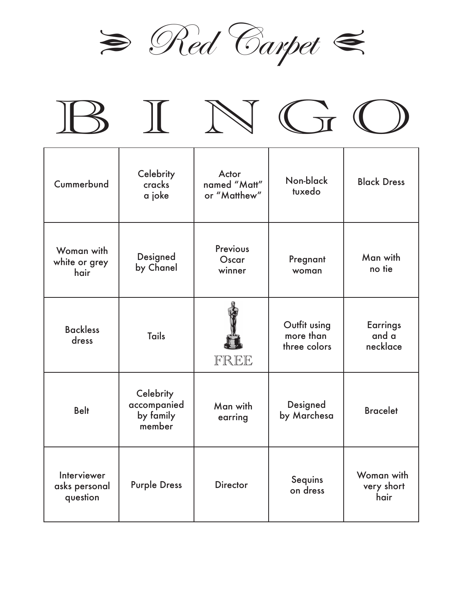









| Cummerbund                               | Celebrity<br>cracks<br>a joke                   | Actor<br>named "Matt"<br>or "Matthew" | Non-black<br>tuxedo                       | <b>Black Dress</b>                   |
|------------------------------------------|-------------------------------------------------|---------------------------------------|-------------------------------------------|--------------------------------------|
| Woman with<br>white or grey<br>hair      | Designed<br>by Chanel                           | <b>Previous</b><br>Oscar<br>winner    | Pregnant<br>woman                         | Man with<br>no tie                   |
| <b>Backless</b><br>dress                 | <b>Tails</b>                                    | FREE                                  | Outfit using<br>more than<br>three colors | <b>Earrings</b><br>and a<br>necklace |
| <b>Belt</b>                              | Celebrity<br>accompanied<br>by family<br>member | Man with<br>earring                   | Designed<br>by Marchesa                   | <b>Bracelet</b>                      |
| Interviewer<br>asks personal<br>question | <b>Purple Dress</b>                             | <b>Director</b>                       | Sequins<br>on dress                       | Woman with<br>very short<br>hair     |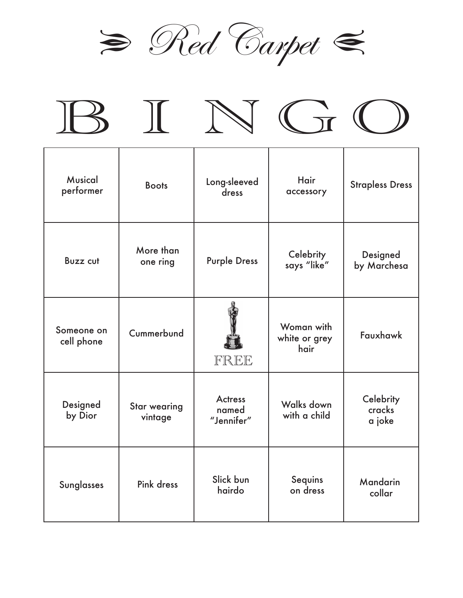

|  | BINGO |  |
|--|-------|--|
|  |       |  |

| <b>Musical</b><br>performer | <b>Boots</b>                   | Long-sleeved<br>dress                 | <b>Hair</b><br>accessory            | <b>Strapless Dress</b>        |
|-----------------------------|--------------------------------|---------------------------------------|-------------------------------------|-------------------------------|
| <b>Buzz cut</b>             | More than<br>one ring          | <b>Purple Dress</b>                   | Celebrity<br>says "like"            | Designed<br>by Marchesa       |
| Someone on<br>cell phone    | Cummerbund                     | FREE                                  | Woman with<br>white or grey<br>hair | Fauxhawk                      |
| Designed<br>by Dior         | <b>Star wearing</b><br>vintage | <b>Actress</b><br>named<br>"Jennifer" | Walks down<br>with a child          | Celebrity<br>cracks<br>a joke |
| <b>Sunglasses</b>           | <b>Pink dress</b>              | Slick bun<br>hairdo                   | Sequins<br>on dress                 | Mandarin<br>collar            |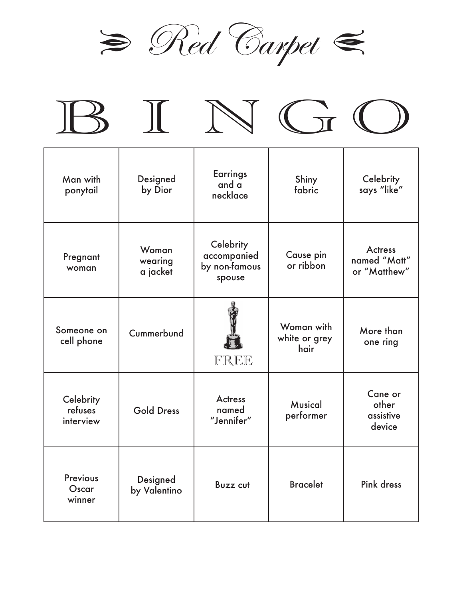









| Man with<br>ponytail              | Designed<br>by Dior          | <b>Earrings</b><br>and a<br>necklace                | Shiny<br>fabric                     | Celebrity<br>says "like"                       |
|-----------------------------------|------------------------------|-----------------------------------------------------|-------------------------------------|------------------------------------------------|
| Pregnant<br>woman                 | Woman<br>wearing<br>a jacket | Celebrity<br>accompanied<br>by non-famous<br>spouse | Cause pin<br>or ribbon              | <b>Actress</b><br>named "Matt"<br>or "Matthew" |
| Someone on<br>cell phone          | Cummerbund                   | FREE                                                | Woman with<br>white or grey<br>hair | More than<br>one ring                          |
| Celebrity<br>refuses<br>interview | <b>Gold Dress</b>            | <b>Actress</b><br>named<br>"Jennifer"               | Musical<br>performer                | Cane or<br>other<br>assistive<br>device        |
| Previous<br>Oscar<br>winner       | Designed<br>by Valentino     | <b>Buzz cut</b>                                     | <b>Bracelet</b>                     | Pink dress                                     |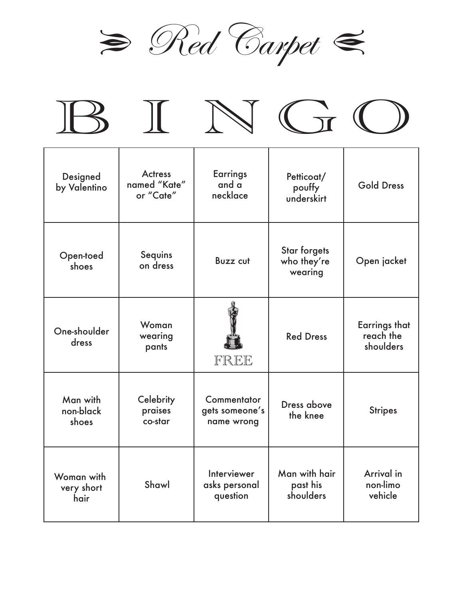









| Designed<br>by Valentino         | <b>Actress</b><br>named "Kate"<br>or "Cate" | <b>Earrings</b><br>and a<br>necklace        | Petticoat/<br>pouffy<br>underskirt            | <b>Gold Dress</b>                              |
|----------------------------------|---------------------------------------------|---------------------------------------------|-----------------------------------------------|------------------------------------------------|
| Open-toed<br>shoes               | Sequins<br>on dress                         | <b>Buzz cut</b>                             | <b>Star forgets</b><br>who they're<br>wearing | Open jacket                                    |
| One-shoulder<br>dress            | Woman<br>wearing<br>pants                   | FREE                                        | <b>Red Dress</b>                              | <b>Earrings that</b><br>reach the<br>shoulders |
| Man with<br>non-black<br>shoes   | Celebrity<br>praises<br>co-star             | Commentator<br>gets someone's<br>name wrong | Dress above<br>the knee                       | <b>Stripes</b>                                 |
| Woman with<br>very short<br>hair | Shawl                                       | Interviewer<br>asks personal<br>question    | Man with hair<br>past his<br>shoulders        | Arrival in<br>non-limo<br>vehicle              |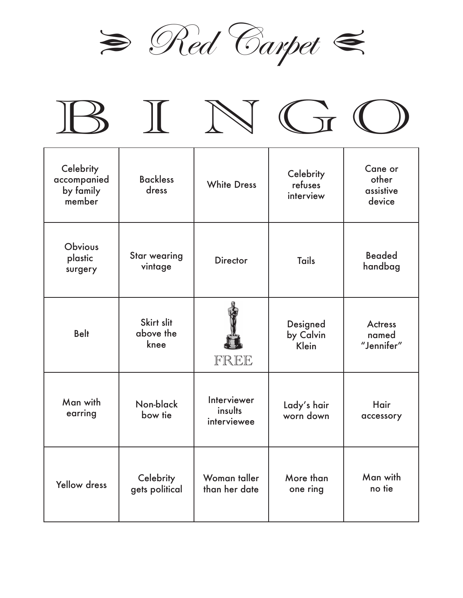

|  | BINGO |  |
|--|-------|--|
|  |       |  |

| Celebrity<br>accompanied<br>by family<br>member | <b>Backless</b><br>dress        | <b>White Dress</b>                    | Celebrity<br>refuses<br>interview | Cane or<br>other<br>assistive<br>device |
|-------------------------------------------------|---------------------------------|---------------------------------------|-----------------------------------|-----------------------------------------|
| <b>Obvious</b><br>plastic<br>surgery            | <b>Star wearing</b><br>vintage  | <b>Director</b>                       | <b>Tails</b>                      | <b>Beaded</b><br>handbag                |
| <b>Belt</b>                                     | Skirt slit<br>above the<br>knee | FREE                                  | Designed<br>by Calvin<br>Klein    | <b>Actress</b><br>named<br>"Jennifer"   |
| Man with<br>earring                             | Non-black<br>bow tie            | Interviewer<br>insults<br>interviewee | Lady's hair<br>worn down          | Hair<br>accessory                       |
| <b>Yellow dress</b>                             | Celebrity<br>gets political     | Woman taller<br>than her date         | More than<br>one ring             | Man with<br>no tie                      |